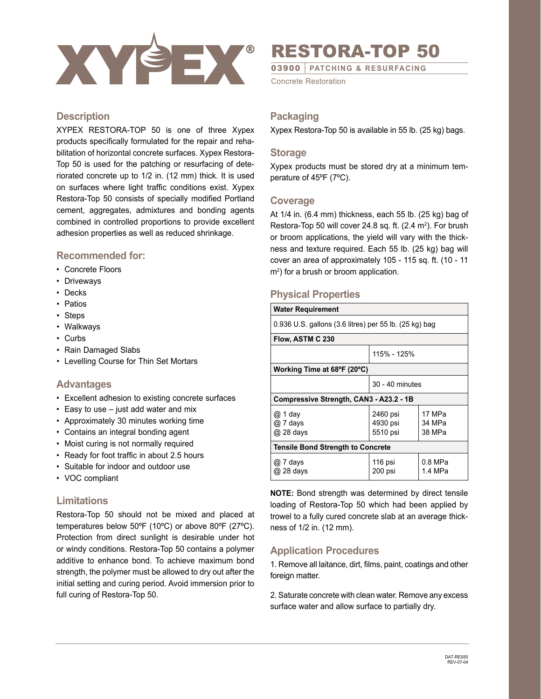

# RESTORA-TOP 50

03900 *|* **PATCHING & RESURFACING**

Concrete Restoration

## **Description**

XYPEX RESTORA-TOP 50 is one of three Xypex products specifically formulated for the repair and rehabilitation of horizontal concrete surfaces. Xypex Restora-Top 50 is used for the patching or resurfacing of deteriorated concrete up to 1/2 in. (12 mm) thick. It is used on surfaces where light traffic conditions exist. Xypex Restora-Top 50 consists of specially modified Portland cement, aggregates, admixtures and bonding agents combined in controlled proportions to provide excellent adhesion properties as well as reduced shrinkage.

## **Recommended for:**

- Concrete Floors
- Driveways
- Decks
- Patios
- Steps
- Walkways
- Curbs
- Rain Damaged Slabs
- Levelling Course for Thin Set Mortars

#### **Advantages**

- Excellent adhesion to existing concrete surfaces
- Easy to use just add water and mix
- Approximately 30 minutes working time
- Contains an integral bonding agent
- Moist curing is not normally required
- Ready for foot traffic in about 2.5 hours
- Suitable for indoor and outdoor use
- VOC compliant

## **Limitations**

Restora-Top 50 should not be mixed and placed at temperatures below 50ºF (10ºC) or above 80ºF (27ºC). Protection from direct sunlight is desirable under hot or windy conditions. Restora-Top 50 contains a polymer additive to enhance bond. To achieve maximum bond strength, the polymer must be allowed to dry out after the initial setting and curing period. Avoid immersion prior to full curing of Restora-Top 50.

## **Packaging**

Xypex Restora-Top 50 is available in 55 lb. (25 kg) bags.

#### **Storage**

Xypex products must be stored dry at a minimum temperature of 45ºF (7ºC).

#### **Coverage**

At 1/4 in. (6.4 mm) thickness, each 55 lb. (25 kg) bag of Restora-Top 50 will cover 24.8 sq. ft. (2.4 m<sup>2</sup>). For brush or broom applications, the yield will vary with the thickness and texture required. Each 55 lb. (25 kg) bag will cover an area of approximately 105 - 115 sq. ft. (10 - 11  $\mathsf{m}^2$ ) for a brush or broom application.

## **Physical Properties**

| <b>Water Requirement</b>                               |                                  |                            |
|--------------------------------------------------------|----------------------------------|----------------------------|
| 0.936 U.S. gallons (3.6 litres) per 55 lb. (25 kg) bag |                                  |                            |
| Flow, ASTM C 230                                       |                                  |                            |
|                                                        | 115% - 125%                      |                            |
| Working Time at 68°F (20°C)                            |                                  |                            |
|                                                        | 30 - 40 minutes                  |                            |
| Compressive Strength, CAN3 - A23.2 - 1B                |                                  |                            |
| @ 1 day<br>@ 7 days<br>@ 28 days                       | 2460 psi<br>4930 psi<br>5510 psi | 17 MPa<br>34 MPa<br>38 MPa |
| <b>Tensile Bond Strength to Concrete</b>               |                                  |                            |
| @ 7 days<br>@ 28 days                                  | 116 psi<br>200 psi               | 0.8 MPa<br>1.4 MPa         |

**NOTE:** Bond strength was determined by direct tensile loading of Restora-Top 50 which had been applied by trowel to a fully cured concrete slab at an average thickness of 1/2 in. (12 mm).

# **Application Procedures**

1. Remove all laitance, dirt, films, paint, coatings and other foreign matter.

2. Saturate concrete with clean water. Remove any excess surface water and allow surface to partially dry.